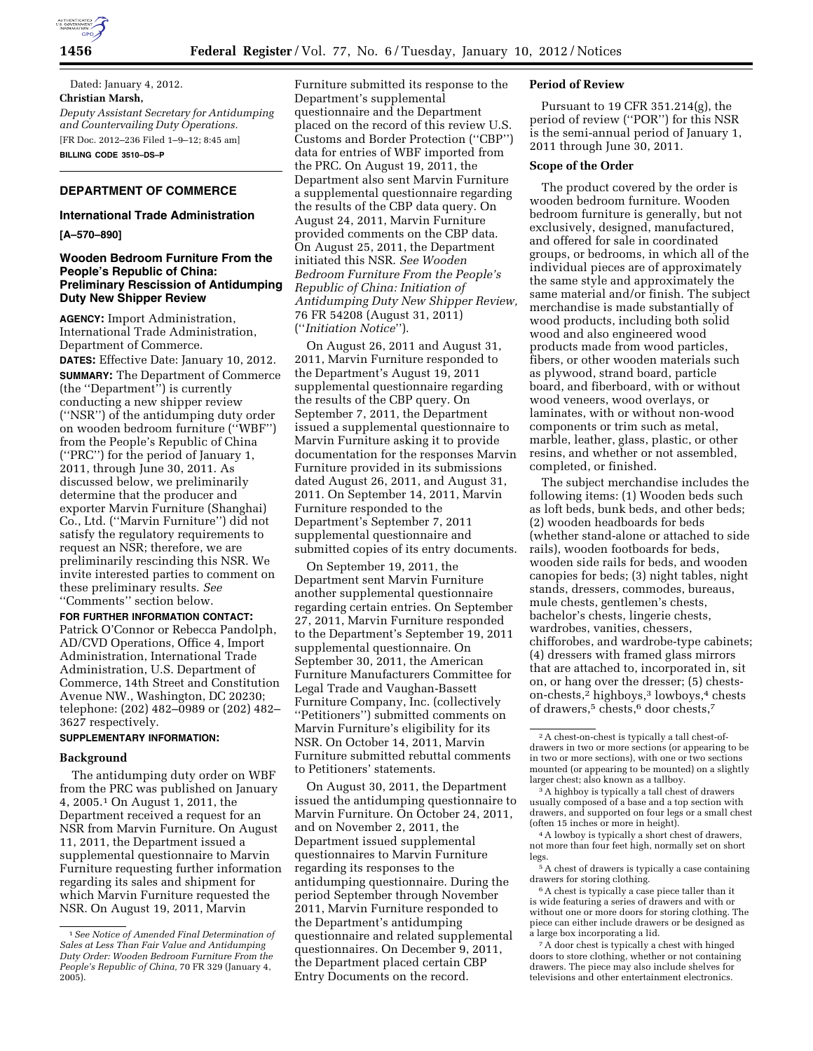

Dated: January 4, 2012. **Christian Marsh,**  *Deputy Assistant Secretary for Antidumping and Countervailing Duty Operations.*  [FR Doc. 2012–236 Filed 1–9–12; 8:45 am] **BILLING CODE 3510–DS–P** 

## **DEPARTMENT OF COMMERCE**

### **International Trade Administration**

**[A–570–890]** 

## **Wooden Bedroom Furniture From the People's Republic of China: Preliminary Rescission of Antidumping Duty New Shipper Review**

**AGENCY:** Import Administration, International Trade Administration, Department of Commerce.

**DATES:** Effective Date: January 10, 2012. **SUMMARY:** The Department of Commerce (the ''Department'') is currently conducting a new shipper review (''NSR'') of the antidumping duty order on wooden bedroom furniture (''WBF'') from the People's Republic of China (''PRC'') for the period of January 1, 2011, through June 30, 2011. As discussed below, we preliminarily determine that the producer and exporter Marvin Furniture (Shanghai) Co., Ltd. (''Marvin Furniture'') did not satisfy the regulatory requirements to request an NSR; therefore, we are preliminarily rescinding this NSR. We invite interested parties to comment on these preliminary results. *See*  ''Comments'' section below.

**FOR FURTHER INFORMATION CONTACT:**  Patrick O'Connor or Rebecca Pandolph, AD/CVD Operations, Office 4, Import Administration, International Trade Administration, U.S. Department of Commerce, 14th Street and Constitution Avenue NW., Washington, DC 20230; telephone: (202) 482–0989 or (202) 482– 3627 respectively.

# **SUPPLEMENTARY INFORMATION:**

## **Background**

The antidumping duty order on WBF from the PRC was published on January 4, 2005.1 On August 1, 2011, the Department received a request for an NSR from Marvin Furniture. On August 11, 2011, the Department issued a supplemental questionnaire to Marvin Furniture requesting further information regarding its sales and shipment for which Marvin Furniture requested the NSR. On August 19, 2011, Marvin

Furniture submitted its response to the Department's supplemental questionnaire and the Department placed on the record of this review U.S. Customs and Border Protection (''CBP'') data for entries of WBF imported from the PRC. On August 19, 2011, the Department also sent Marvin Furniture a supplemental questionnaire regarding the results of the CBP data query. On August 24, 2011, Marvin Furniture provided comments on the CBP data. On August 25, 2011, the Department initiated this NSR. *See Wooden Bedroom Furniture From the People's Republic of China: Initiation of Antidumping Duty New Shipper Review,*  76 FR 54208 (August 31, 2011) (''*Initiation Notice*'').

On August 26, 2011 and August 31, 2011, Marvin Furniture responded to the Department's August 19, 2011 supplemental questionnaire regarding the results of the CBP query. On September 7, 2011, the Department issued a supplemental questionnaire to Marvin Furniture asking it to provide documentation for the responses Marvin Furniture provided in its submissions dated August 26, 2011, and August 31, 2011. On September 14, 2011, Marvin Furniture responded to the Department's September 7, 2011 supplemental questionnaire and submitted copies of its entry documents.

On September 19, 2011, the Department sent Marvin Furniture another supplemental questionnaire regarding certain entries. On September 27, 2011, Marvin Furniture responded to the Department's September 19, 2011 supplemental questionnaire. On September 30, 2011, the American Furniture Manufacturers Committee for Legal Trade and Vaughan-Bassett Furniture Company, Inc. (collectively ''Petitioners'') submitted comments on Marvin Furniture's eligibility for its NSR. On October 14, 2011, Marvin Furniture submitted rebuttal comments to Petitioners' statements.

On August 30, 2011, the Department issued the antidumping questionnaire to Marvin Furniture. On October 24, 2011, and on November 2, 2011, the Department issued supplemental questionnaires to Marvin Furniture regarding its responses to the antidumping questionnaire. During the period September through November 2011, Marvin Furniture responded to the Department's antidumping questionnaire and related supplemental questionnaires. On December 9, 2011, the Department placed certain CBP Entry Documents on the record.

#### **Period of Review**

Pursuant to 19 CFR 351.214(g), the period of review (''POR'') for this NSR is the semi-annual period of January 1, 2011 through June 30, 2011.

#### **Scope of the Order**

The product covered by the order is wooden bedroom furniture. Wooden bedroom furniture is generally, but not exclusively, designed, manufactured, and offered for sale in coordinated groups, or bedrooms, in which all of the individual pieces are of approximately the same style and approximately the same material and/or finish. The subject merchandise is made substantially of wood products, including both solid wood and also engineered wood products made from wood particles, fibers, or other wooden materials such as plywood, strand board, particle board, and fiberboard, with or without wood veneers, wood overlays, or laminates, with or without non-wood components or trim such as metal, marble, leather, glass, plastic, or other resins, and whether or not assembled, completed, or finished.

The subject merchandise includes the following items: (1) Wooden beds such as loft beds, bunk beds, and other beds; (2) wooden headboards for beds (whether stand-alone or attached to side rails), wooden footboards for beds, wooden side rails for beds, and wooden canopies for beds; (3) night tables, night stands, dressers, commodes, bureaus, mule chests, gentlemen's chests, bachelor's chests, lingerie chests, wardrobes, vanities, chessers, chifforobes, and wardrobe-type cabinets; (4) dressers with framed glass mirrors that are attached to, incorporated in, sit on, or hang over the dresser; (5) chestson-chests,2 highboys,3 lowboys,4 chests of drawers,<sup>5</sup> chests,<sup>6</sup> door chests,<sup>7</sup>

<sup>1</sup>*See Notice of Amended Final Determination of Sales at Less Than Fair Value and Antidumping Duty Order: Wooden Bedroom Furniture From the People's Republic of China,* 70 FR 329 (January 4, 2005).

 $^{\rm 2}$  A chest-on-chest is typically a tall chest-ofdrawers in two or more sections (or appearing to be in two or more sections), with one or two sections mounted (or appearing to be mounted) on a slightly larger chest; also known as a tallboy.

<sup>3</sup>A highboy is typically a tall chest of drawers usually composed of a base and a top section with drawers, and supported on four legs or a small chest (often 15 inches or more in height).

<sup>4</sup>A lowboy is typically a short chest of drawers, not more than four feet high, normally set on short legs.

<sup>5</sup>A chest of drawers is typically a case containing drawers for storing clothing.

 $^{\rm 6}$  A chest is typically a case piece taller than it is wide featuring a series of drawers and with or without one or more doors for storing clothing. The piece can either include drawers or be designed as a large box incorporating a lid.

<sup>7</sup>A door chest is typically a chest with hinged doors to store clothing, whether or not containing drawers. The piece may also include shelves for televisions and other entertainment electronics.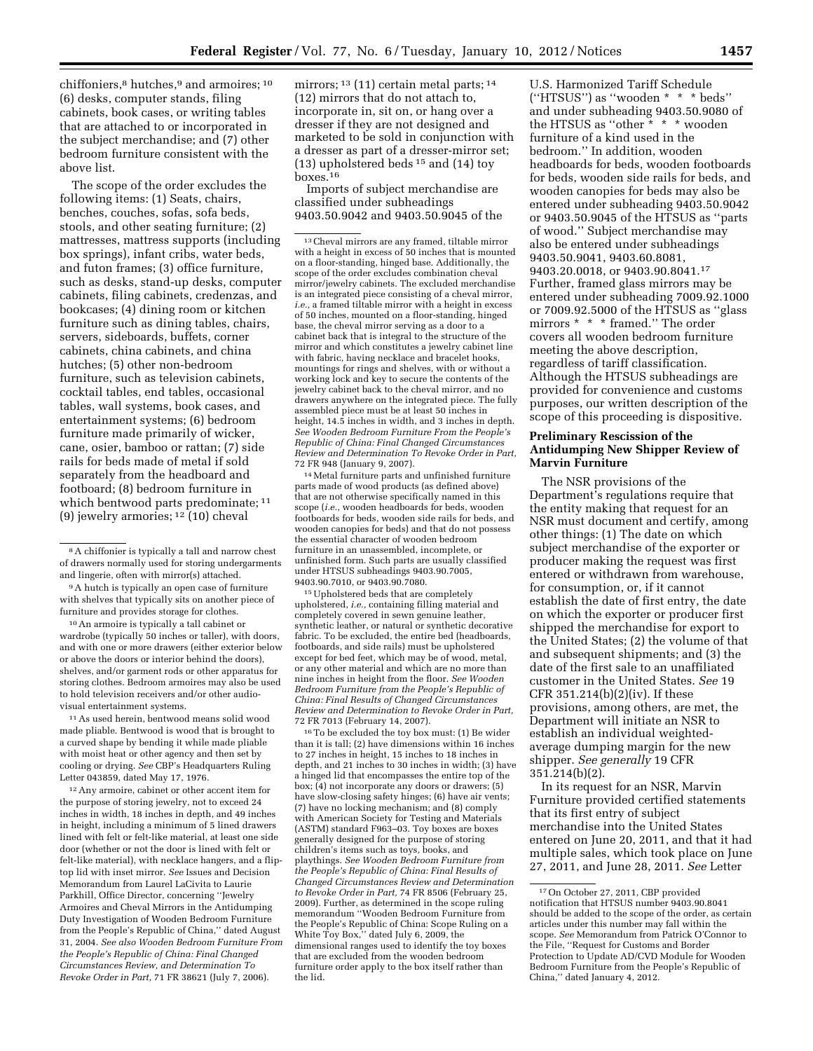chiffoniers,<sup>8</sup> hutches,<sup>9</sup> and armoires;<sup>10</sup> (6) desks, computer stands, filing cabinets, book cases, or writing tables that are attached to or incorporated in the subject merchandise; and (7) other bedroom furniture consistent with the above list.

The scope of the order excludes the following items: (1) Seats, chairs, benches, couches, sofas, sofa beds, stools, and other seating furniture; (2) mattresses, mattress supports (including box springs), infant cribs, water beds, and futon frames; (3) office furniture, such as desks, stand-up desks, computer cabinets, filing cabinets, credenzas, and bookcases; (4) dining room or kitchen furniture such as dining tables, chairs, servers, sideboards, buffets, corner cabinets, china cabinets, and china hutches; (5) other non-bedroom furniture, such as television cabinets, cocktail tables, end tables, occasional tables, wall systems, book cases, and entertainment systems; (6) bedroom furniture made primarily of wicker, cane, osier, bamboo or rattan; (7) side rails for beds made of metal if sold separately from the headboard and footboard; (8) bedroom furniture in which bentwood parts predominate; 11 (9) jewelry armories; 12 (10) cheval

9A hutch is typically an open case of furniture with shelves that typically sits on another piece of furniture and provides storage for clothes.

10An armoire is typically a tall cabinet or wardrobe (typically 50 inches or taller), with doors, and with one or more drawers (either exterior below or above the doors or interior behind the doors), shelves, and/or garment rods or other apparatus for storing clothes. Bedroom armoires may also be used to hold television receivers and/or other audiovisual entertainment systems.

11As used herein, bentwood means solid wood made pliable. Bentwood is wood that is brought to a curved shape by bending it while made pliable with moist heat or other agency and then set by cooling or drying. *See* CBP's Headquarters Ruling Letter 043859, dated May 17, 1976.

12Any armoire, cabinet or other accent item for the purpose of storing jewelry, not to exceed 24 inches in width, 18 inches in depth, and 49 inches in height, including a minimum of 5 lined drawers lined with felt or felt-like material, at least one side door (whether or not the door is lined with felt or felt-like material), with necklace hangers, and a fliptop lid with inset mirror. *See* Issues and Decision Memorandum from Laurel LaCivita to Laurie Parkhill, Office Director, concerning ''Jewelry Armoires and Cheval Mirrors in the Antidumping Duty Investigation of Wooden Bedroom Furniture from the People's Republic of China,'' dated August 31, 2004. *See also Wooden Bedroom Furniture From the People's Republic of China: Final Changed Circumstances Review, and Determination To Revoke Order in Part,* 71 FR 38621 (July 7, 2006).

mirrors; <sup>13</sup> (11) certain metal parts; <sup>14</sup> (12) mirrors that do not attach to, incorporate in, sit on, or hang over a dresser if they are not designed and marketed to be sold in conjunction with a dresser as part of a dresser-mirror set; (13) upholstered beds 15 and (14) toy boxes.16

Imports of subject merchandise are classified under subheadings 9403.50.9042 and 9403.50.9045 of the

13Cheval mirrors are any framed, tiltable mirror with a height in excess of 50 inches that is mounted on a floor-standing, hinged base. Additionally, the scope of the order excludes combination cheval mirror/jewelry cabinets. The excluded merchandise is an integrated piece consisting of a cheval mirror, *i.e.,* a framed tiltable mirror with a height in excess of 50 inches, mounted on a floor-standing, hinged base, the cheval mirror serving as a door to a cabinet back that is integral to the structure of the mirror and which constitutes a jewelry cabinet line with fabric, having necklace and bracelet hooks, mountings for rings and shelves, with or without a working lock and key to secure the contents of the jewelry cabinet back to the cheval mirror, and no drawers anywhere on the integrated piece. The fully assembled piece must be at least 50 inches in height, 14.5 inches in width, and 3 inches in depth. *See Wooden Bedroom Furniture From the People's Republic of China: Final Changed Circumstances Review and Determination To Revoke Order in Part,*  72 FR 948 (January 9, 2007).

14Metal furniture parts and unfinished furniture parts made of wood products (as defined above) that are not otherwise specifically named in this scope (*i.e.,* wooden headboards for beds, wooden footboards for beds, wooden side rails for beds, and wooden canopies for beds) and that do not possess the essential character of wooden bedroom furniture in an unassembled, incomplete, or unfinished form. Such parts are usually classified under HTSUS subheadings 9403.90.7005, 9403.90.7010, or 9403.90.7080.

15Upholstered beds that are completely upholstered, *i.e.,* containing filling material and completely covered in sewn genuine leather, synthetic leather, or natural or synthetic decorative fabric. To be excluded, the entire bed (headboards, footboards, and side rails) must be upholstered except for bed feet, which may be of wood, metal, or any other material and which are no more than nine inches in height from the floor. *See Wooden Bedroom Furniture from the People's Republic of China: Final Results of Changed Circumstances Review and Determination to Revoke Order in Part,*  72 FR 7013 (February 14, 2007).

16To be excluded the toy box must: (1) Be wider than it is tall; (2) have dimensions within 16 inches to 27 inches in height, 15 inches to 18 inches in depth, and 21 inches to 30 inches in width; (3) have a hinged lid that encompasses the entire top of the box; (4) not incorporate any doors or drawers; (5) have slow-closing safety hinges; (6) have air vents; (7) have no locking mechanism; and (8) comply with American Society for Testing and Materials (ASTM) standard F963–03. Toy boxes are boxes generally designed for the purpose of storing children's items such as toys, books, and playthings. *See Wooden Bedroom Furniture from the People's Republic of China: Final Results of Changed Circumstances Review and Determination to Revoke Order in Part,* 74 FR 8506 (February 25, 2009). Further, as determined in the scope ruling memorandum ''Wooden Bedroom Furniture from the People's Republic of China: Scope Ruling on a White Toy Box,'' dated July 6, 2009, the dimensional ranges used to identify the toy boxes that are excluded from the wooden bedroom furniture order apply to the box itself rather than the lid.

U.S. Harmonized Tariff Schedule (''HTSUS'') as ''wooden \* \* \* beds'' and under subheading 9403.50.9080 of the HTSUS as ''other \* \* \* wooden furniture of a kind used in the bedroom.'' In addition, wooden headboards for beds, wooden footboards for beds, wooden side rails for beds, and wooden canopies for beds may also be entered under subheading 9403.50.9042 or 9403.50.9045 of the HTSUS as ''parts of wood.'' Subject merchandise may also be entered under subheadings 9403.50.9041, 9403.60.8081, 9403.20.0018, or 9403.90.8041.17 Further, framed glass mirrors may be entered under subheading 7009.92.1000 or 7009.92.5000 of the HTSUS as ''glass mirrors \* \* \* framed.'' The order covers all wooden bedroom furniture meeting the above description, regardless of tariff classification. Although the HTSUS subheadings are provided for convenience and customs purposes, our written description of the scope of this proceeding is dispositive.

## **Preliminary Rescission of the Antidumping New Shipper Review of Marvin Furniture**

The NSR provisions of the Department's regulations require that the entity making that request for an NSR must document and certify, among other things: (1) The date on which subject merchandise of the exporter or producer making the request was first entered or withdrawn from warehouse, for consumption, or, if it cannot establish the date of first entry, the date on which the exporter or producer first shipped the merchandise for export to the United States; (2) the volume of that and subsequent shipments; and (3) the date of the first sale to an unaffiliated customer in the United States. *See* 19 CFR 351.214(b)(2)(iv). If these provisions, among others, are met, the Department will initiate an NSR to establish an individual weightedaverage dumping margin for the new shipper. *See generally* 19 CFR 351.214(b)(2).

In its request for an NSR, Marvin Furniture provided certified statements that its first entry of subject merchandise into the United States entered on June 20, 2011, and that it had multiple sales, which took place on June 27, 2011, and June 28, 2011. *See* Letter

<sup>8</sup>A chiffonier is typically a tall and narrow chest of drawers normally used for storing undergarments and lingerie, often with mirror(s) attached.

<sup>17</sup>On October 27, 2011, CBP provided notification that HTSUS number 9403.90.8041 should be added to the scope of the order, as certain articles under this number may fall within the scope. *See* Memorandum from Patrick O'Connor to the File, ''Request for Customs and Border Protection to Update AD/CVD Module for Wooden Bedroom Furniture from the People's Republic of China,'' dated January 4, 2012.